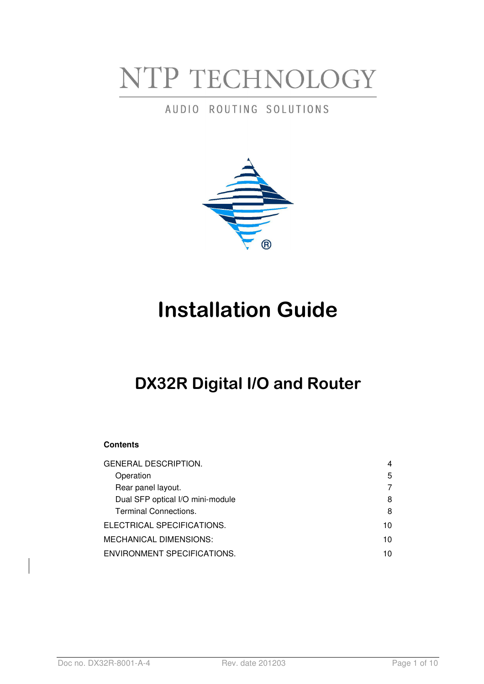# NTP TECHNOLOGY

## AUDIO ROUTING SOLUTIONS



## **Installation Guide**

## **DX32R Digital I/O and Router**

#### **Contents**

| <b>GENERAL DESCRIPTION.</b>      | 4  |
|----------------------------------|----|
| Operation                        | 5  |
| Rear panel layout.               | 7  |
| Dual SFP optical I/O mini-module | 8  |
| <b>Terminal Connections.</b>     | 8  |
| ELECTRICAL SPECIFICATIONS.       | 10 |
| MECHANICAL DIMENSIONS:           | 10 |
| ENVIRONMENT SPECIFICATIONS.      | 10 |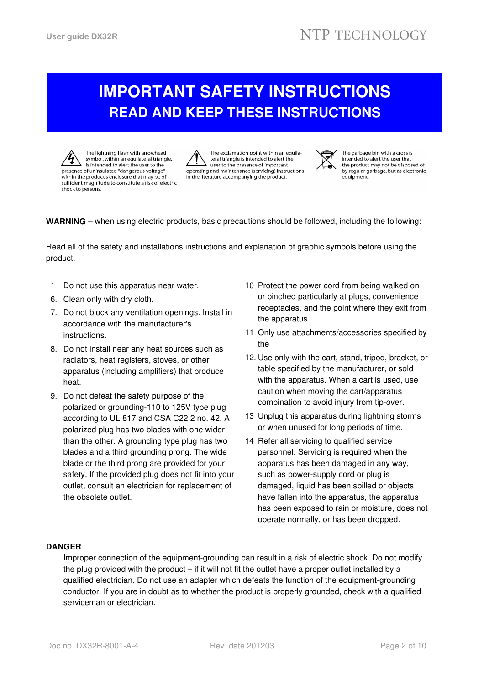## **IMPORTANT SAFETY INSTRUCTIONS READ AND KEEP THESE INSTRUCTIONS**

The lightning flash with arrowhead symbol, within an equilateral triangle, is intended to alert the user to the presence of uninsulated "dangerous voltage" within the product's enclosure that may be of sufficient magnitude to constitute a risk of electric shock to persons.

The exclamation point within an equilateral triangle is intended to alert the user to the presence of important operating and maintenance (servicing) instructions in the literature accompanying the product.



The garbage bin with a cross is intended to alert the user that the product may not be disposed of by regular garbage, but as electronic equipment.

#### **WARNING** – when using electric products, basic precautions should be followed, including the following:

Read all of the safety and installations instructions and explanation of graphic symbols before using the product.

- 1 Do not use this apparatus near water.
- 6. Clean only with dry cloth.
- 7. Do not block any ventilation openings. Install in accordance with the manufacturer's instructions.
- 8. Do not install near any heat sources such as radiators, heat registers, stoves, or other apparatus (including amplifiers) that produce heat.
- 9. Do not defeat the safety purpose of the polarized or grounding-110 to 125V type plug according to UL 817 and CSA C22.2 no. 42. A polarized plug has two blades with one wider than the other. A grounding type plug has two blades and a third grounding prong. The wide blade or the third prong are provided for your safety. If the provided plug does not fit into your outlet, consult an electrician for replacement of the obsolete outlet.
- 10 Protect the power cord from being walked on or pinched particularly at plugs, convenience receptacles, and the point where they exit from the apparatus.
- 11 Only use attachments/accessories specified by the
- 12. Use only with the cart, stand, tripod, bracket, or table specified by the manufacturer, or sold with the apparatus. When a cart is used, use caution when moving the cart/apparatus combination to avoid injury from tip-over.
- 13 Unplug this apparatus during lightning storms or when unused for long periods of time.
- 14 Refer all servicing to qualified service personnel. Servicing is required when the apparatus has been damaged in any way, such as power-supply cord or plug is damaged, liquid has been spilled or objects have fallen into the apparatus, the apparatus has been exposed to rain or moisture, does not operate normally, or has been dropped.

#### **DANGER**

Improper connection of the equipment-grounding can result in a risk of electric shock. Do not modify the plug provided with the product – if it will not fit the outlet have a proper outlet installed by a qualified electrician. Do not use an adapter which defeats the function of the equipment-grounding conductor. If you are in doubt as to whether the product is properly grounded, check with a qualified serviceman or electrician.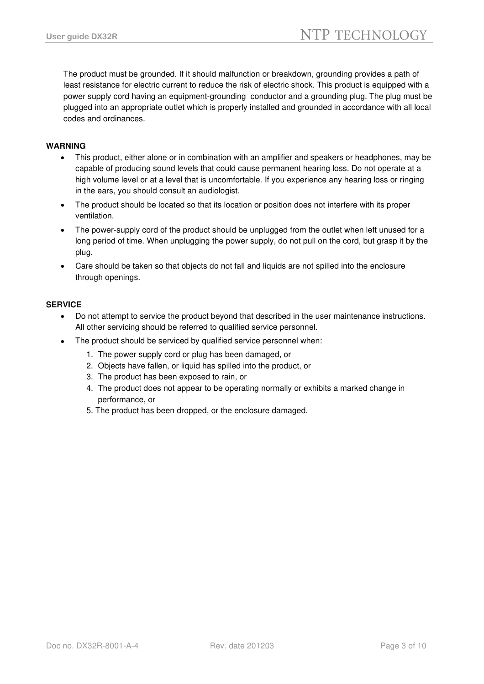The product must be grounded. If it should malfunction or breakdown, grounding provides a path of least resistance for electric current to reduce the risk of electric shock. This product is equipped with a power supply cord having an equipment-grounding conductor and a grounding plug. The plug must be plugged into an appropriate outlet which is properly installed and grounded in accordance with all local codes and ordinances.

#### **WARNING**

- This product, either alone or in combination with an amplifier and speakers or headphones, may be capable of producing sound levels that could cause permanent hearing loss. Do not operate at a high volume level or at a level that is uncomfortable. If you experience any hearing loss or ringing in the ears, you should consult an audiologist.
- The product should be located so that its location or position does not interfere with its proper ventilation.
- The power-supply cord of the product should be unplugged from the outlet when left unused for a long period of time. When unplugging the power supply, do not pull on the cord, but grasp it by the plug.
- Care should be taken so that objects do not fall and liquids are not spilled into the enclosure through openings.

#### **SERVICE**

- Do not attempt to service the product beyond that described in the user maintenance instructions. All other servicing should be referred to qualified service personnel.
- The product should be serviced by qualified service personnel when:
	- 1. The power supply cord or plug has been damaged, or
	- 2. Objects have fallen, or liquid has spilled into the product, or
	- 3. The product has been exposed to rain, or
	- 4. The product does not appear to be operating normally or exhibits a marked change in performance, or
	- 5. The product has been dropped, or the enclosure damaged.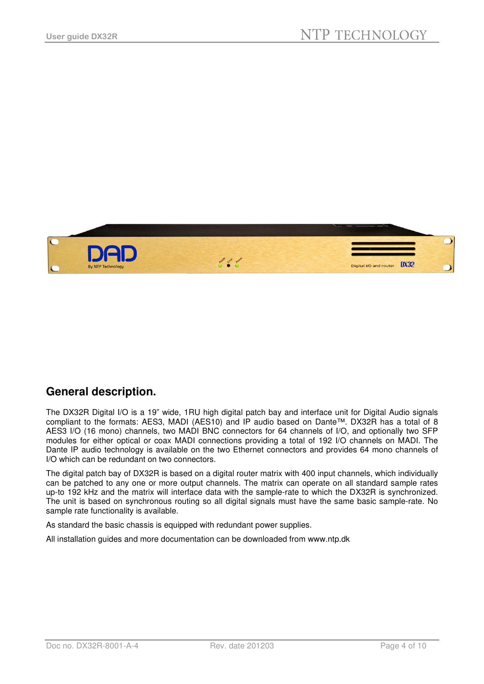

## **General description.**

The DX32R Digital I/O is a 19" wide, 1RU high digital patch bay and interface unit for Digital Audio signals compliant to the formats: AES3, MADI (AES10) and IP audio based on Dante™. DX32R has a total of 8 AES3 I/O (16 mono) channels, two MADI BNC connectors for 64 channels of I/O, and optionally two SFP modules for either optical or coax MADI connections providing a total of 192 I/O channels on MADI. The Dante IP audio technology is available on the two Ethernet connectors and provides 64 mono channels of I/O which can be redundant on two connectors.

The digital patch bay of DX32R is based on a digital router matrix with 400 input channels, which individually can be patched to any one or more output channels. The matrix can operate on all standard sample rates up-to 192 kHz and the matrix will interface data with the sample-rate to which the DX32R is synchronized. The unit is based on synchronous routing so all digital signals must have the same basic sample-rate. No sample rate functionality is available.

As standard the basic chassis is equipped with redundant power supplies.

All installation guides and more documentation can be downloaded from www.ntp.dk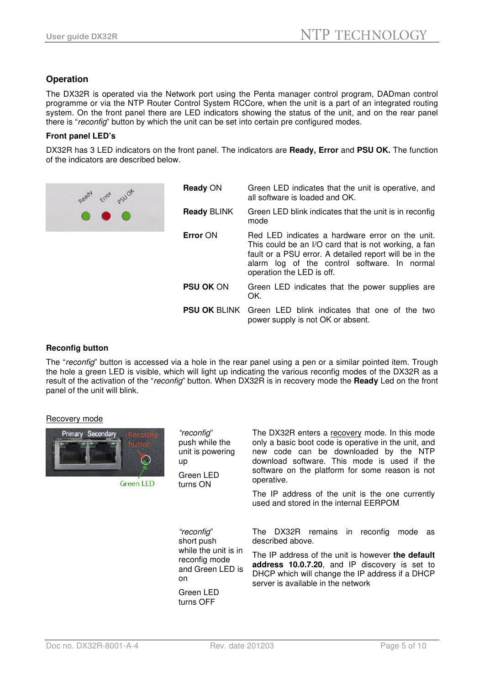#### **Operation**

The DX32R is operated via the Network port using the Penta manager control program, DADman control programme or via the NTP Router Control System RCCore, when the unit is a part of an integrated routing system. On the front panel there are LED indicators showing the status of the unit, and on the rear panel there is "reconfig" button by which the unit can be set into certain pre configured modes.

#### **Front panel LED's**

DX32R has 3 LED indicators on the front panel. The indicators are **Ready, Error** and **PSU OK.** The function of the indicators are described below.

| Ready Error psych | Ready ON           | Green LED indicates that the unit is operative, and<br>all software is loaded and OK.                                                                                                                                                          |
|-------------------|--------------------|------------------------------------------------------------------------------------------------------------------------------------------------------------------------------------------------------------------------------------------------|
|                   | <b>Ready BLINK</b> | Green LED blink indicates that the unit is in reconfig<br>mode                                                                                                                                                                                 |
|                   | Error ON           | Red LED indicates a hardware error on the unit.<br>This could be an I/O card that is not working, a fan<br>fault or a PSU error. A detailed report will be in the<br>alarm log of the control software. In normal<br>operation the LED is off. |
|                   | <b>PSU OK ON</b>   | Green LED indicates that the power supplies are<br>OK.                                                                                                                                                                                         |
|                   |                    | <b>PSU OK</b> BLINK Green LED blink indicates that one of the two<br>power supply is not OK or absent.                                                                                                                                         |
|                   |                    |                                                                                                                                                                                                                                                |

#### **Reconfig button**

The "reconfig" button is accessed via a hole in the rear panel using a pen or a similar pointed item. Trough the hole a green LED is visible, which will light up indicating the various reconfig modes of the DX32R as a result of the activation of the "reconfig" button. When DX32R is in recovery mode the **Ready** Led on the front panel of the unit will blink.

#### Recovery mode



**Green LED** 

"reconfig" push while the unit is powering up Green LED

turns ON

The DX32R enters a recovery mode. In this mode only a basic boot code is operative in the unit, and new code can be downloaded by the NTP download software. This mode is used if the software on the platform for some reason is not operative.

The IP address of the unit is the one currently used and stored in the internal EERPOM

"reconfig" short push while the unit is in reconfig mode and Green LED is on Green LED

turns OFF

The DX32R remains in reconfig mode as described above.

The IP address of the unit is however **the default address 10.0.7.20**, and IP discovery is set to DHCP which will change the IP address if a DHCP server is available in the network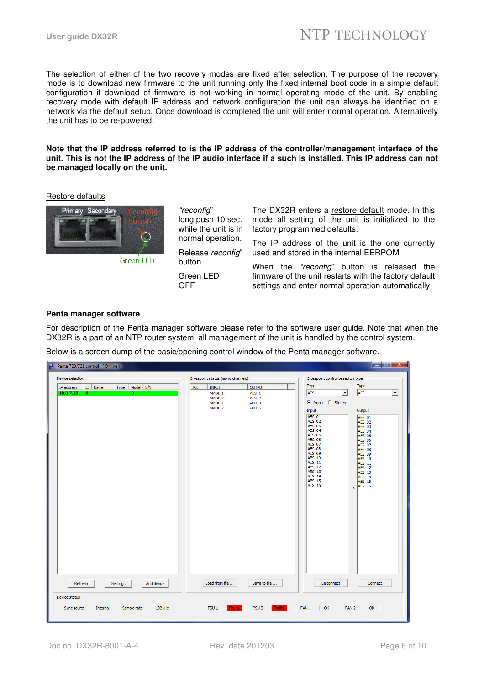The selection of either of the two recovery modes are fixed after selection. The purpose of the recovery mode is to download new firmware to the unit running only the fixed internal boot code in a simple default configuration if download of firmware is not working in normal operating mode of the unit. By enabling recovery mode with default IP address and network configuration the unit can always be identified on a network via the default setup. Once download is completed the unit will enter normal operation. Alternatively the unit has to be re-powered.

#### **Note that the IP address referred to is the IP address of the controller/management interface of the unit. This is not the IP address of the IP audio interface if a such is installed. This IP address can not be managed locally on the unit.**

Restore defaults



**Green LED** 

"reconfig" long push 10 sec. while the unit is in normal operation. Release reconfig" button Green LED

OFF

The DX32R enters a restore default mode. In this mode all setting of the unit is initialized to the factory programmed defaults.

The IP address of the unit is the one currently used and stored in the internal EERPOM

When the "reconfig" button is released the firmware of the unit restarts with the factory default settings and enter normal operation automatically.

#### **Penta manager software**

For description of the Penta manager software please refer to the software user guide. Note that when the DX32R is a part of an NTP router system, all management of the unit is handled by the control system.

Below is a screen dump of the basic/opening control window of the Penta manager software.

| Penta 720/721 control (Online)                                     |                                      |                                                                   | ككارتكار                                                                                                                                                                                                                                                                                                                                                                                                                             |  |
|--------------------------------------------------------------------|--------------------------------------|-------------------------------------------------------------------|--------------------------------------------------------------------------------------------------------------------------------------------------------------------------------------------------------------------------------------------------------------------------------------------------------------------------------------------------------------------------------------------------------------------------------------|--|
| Device selection                                                   | Crosspoint status (mono channels)    |                                                                   | Crosspoint control based on type                                                                                                                                                                                                                                                                                                                                                                                                     |  |
| Type   Model   S/N<br>IP address<br>ID Name                        | ALL<br><b>INPUT</b>                  | <b>OUTPUT</b>                                                     | Type<br>Type                                                                                                                                                                                                                                                                                                                                                                                                                         |  |
| 10.0.7.20<br>$\mathbf{0}$<br>$\overline{0}$                        | MADI 1<br>MADI 2<br>MADI 1<br>MADI 2 | AES <sub>1</sub><br>AES <sub>2</sub><br>PHD 1<br>PHD <sub>2</sub> | AES<br>AES<br>$\vert \cdot \vert$<br>$\overline{\phantom{a}}$<br>C Mono C Stereo<br>Output<br>Input<br>AES 01<br><b>AES 01</b><br><b>AES 02</b><br><b>AES 02</b><br><b>AES 03</b><br><b>AES 03</b>                                                                                                                                                                                                                                   |  |
|                                                                    |                                      |                                                                   | AES 04<br>AES 04<br><b>AES 05</b><br><b>AES 05</b><br><b>AES 06</b><br><b>AES 06</b><br><b>AES 07</b><br><b>AES 07</b><br>AES 08<br><b>AES 08</b><br><b>AES 09</b><br><b>AES 09</b><br><b>AES 10</b><br><b>AES 10</b><br><b>AES 11</b><br><b>AES 11</b><br><b>AES 12</b><br><b>AES 12</b><br><b>AES 13</b><br>AES 13<br><b>AES 14</b><br><b>AES 14</b><br>AES 15<br><b>AES 15</b><br><b>AES 16</b><br><b>AES 16</b><br>$\rightarrow$ |  |
| Add device<br>Refresh<br>Settings                                  | Load from file                       | Save to file                                                      | Disconnect<br>Connect                                                                                                                                                                                                                                                                                                                                                                                                                |  |
| Device status<br>Internal<br>192 kHz<br>Sync source<br>Sample rate | <b>Faulty</b><br>PSU <sub>1</sub>    | Faulty<br>PSU <sub>2</sub>                                        | FAN 1<br>OK<br>FAN <sub>2</sub><br>OK                                                                                                                                                                                                                                                                                                                                                                                                |  |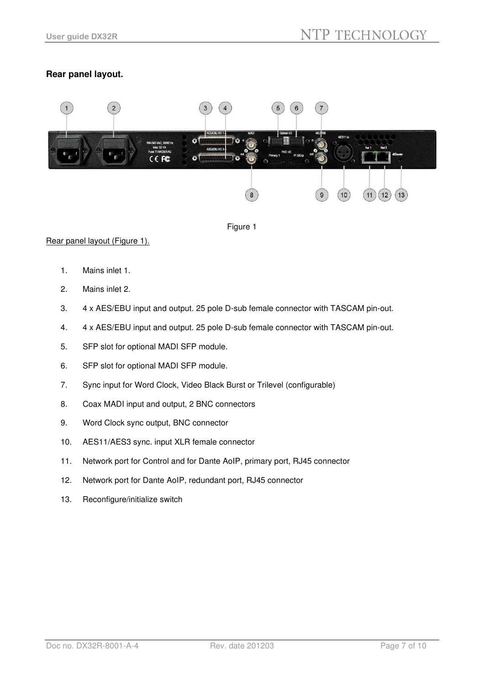### **Rear panel layout.**





#### Rear panel layout (Figure 1).

- 1. Mains inlet 1.
- 2. Mains inlet 2.
- 3. 4 x AES/EBU input and output. 25 pole D-sub female connector with TASCAM pin-out.
- 4. 4 x AES/EBU input and output. 25 pole D-sub female connector with TASCAM pin-out.
- 5. SFP slot for optional MADI SFP module.
- 6. SFP slot for optional MADI SFP module.
- 7. Sync input for Word Clock, Video Black Burst or Trilevel (configurable)
- 8. Coax MADI input and output, 2 BNC connectors
- 9. Word Clock sync output, BNC connector
- 10. AES11/AES3 sync. input XLR female connector
- 11. Network port for Control and for Dante AoIP, primary port, RJ45 connector
- 12. Network port for Dante AoIP, redundant port, RJ45 connector
- 13. Reconfigure/initialize switch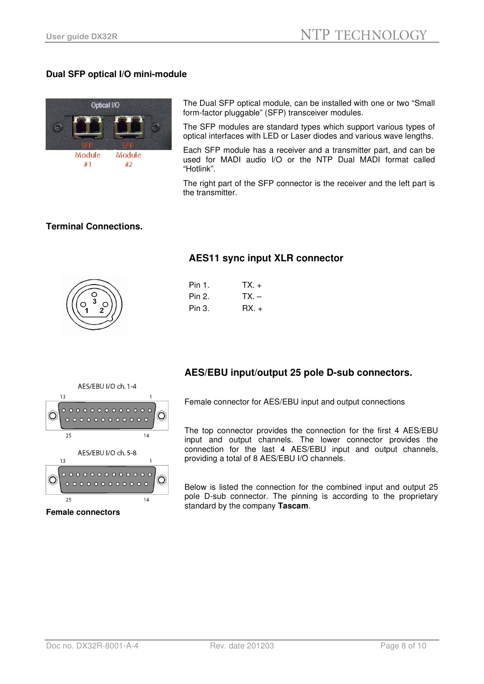#### **Dual SFP optical I/O mini-module**



The Dual SFP optical module, can be installed with one or two "Small form-factor pluggable" (SFP) transceiver modules.

The SFP modules are standard types which support various types of optical interfaces with LED or Laser diodes and various wave lengths.

Each SFP module has a receiver and a transmitter part, and can be used for MADI audio I/O or the NTP Dual MADI format called "Hotlink".

The right part of the SFP connector is the receiver and the left part is the transmitter.

#### **Terminal Connections.**



### **AES11 sync input XLR connector**

| <b>Pin 1</b> . | $TX +$ |
|----------------|--------|
| Pin 2.         | $TX -$ |
| Pin 3.         | $RX +$ |



## **AES/EBU input/output 25 pole D-sub connectors.**

Female connector for AES/EBU input and output connections

The top connector provides the connection for the first 4 AES/EBU input and output channels. The lower connector provides the connection for the last 4 AES/EBU input and output channels, providing a total of 8 AES/EBU I/O channels.

Below is listed the connection for the combined input and output 25 pole D-sub connector. The pinning is according to the proprietary standard by the company **Tascam**.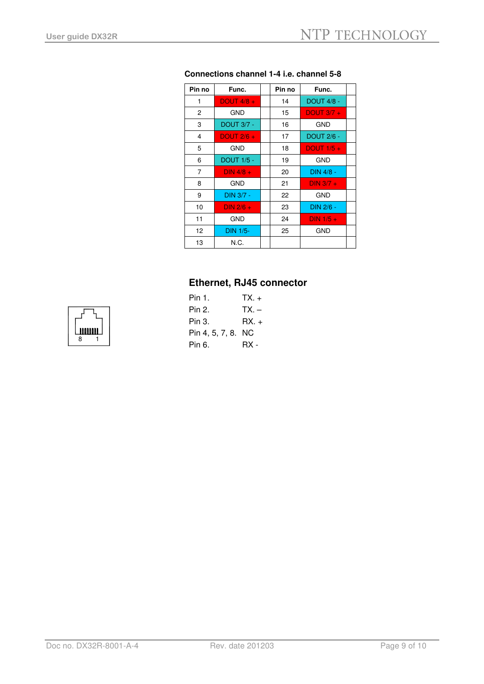| Pin no | Func.                  | Pin no | Func.             |  |
|--------|------------------------|--------|-------------------|--|
| 1      | DOUT $4/8$ +           | 14     | <b>DOUT 4/8 -</b> |  |
| 2      | GND                    | 15     | DOUT $3/7 +$      |  |
| 3      | <b>DOUT 3/7 -</b>      | 16     | <b>GND</b>        |  |
| 4      | DOUT $2/6 +$           | 17     | <b>DOUT 2/6 -</b> |  |
| 5      | GND                    | 18     | DOUT $1/5 +$      |  |
| 6      | <b>DOUT 1/5 -</b>      | 19     | GND               |  |
| 7      | DIN $\overline{4/8}$ + | 20     | DIN 4/8 -         |  |
| 8      | <b>GND</b>             | 21     | $DIN 3/7 +$       |  |
| 9      | DIN 3/7 -              | 22     | <b>GND</b>        |  |
| 10     | DIN $2/6 +$            | 23     | DIN 2/6 -         |  |
| 11     | <b>GND</b>             | 24     | DIN $1/5 +$       |  |
| 12     | <b>DIN 1/5-</b>        | 25     | GND               |  |
| 13     | N.C.                   |        |                   |  |

#### **Connections channel 1-4 i.e. channel 5-8**

### **Ethernet, RJ45 connector**

| <b>Pin 1.</b>      | $TX_{+}$ |
|--------------------|----------|
| Pin 2.             | TX. –    |
| Pin 3.             | $RX_{+}$ |
| Pin 4, 5, 7, 8. NC |          |
| Pin 6.             | RX -     |